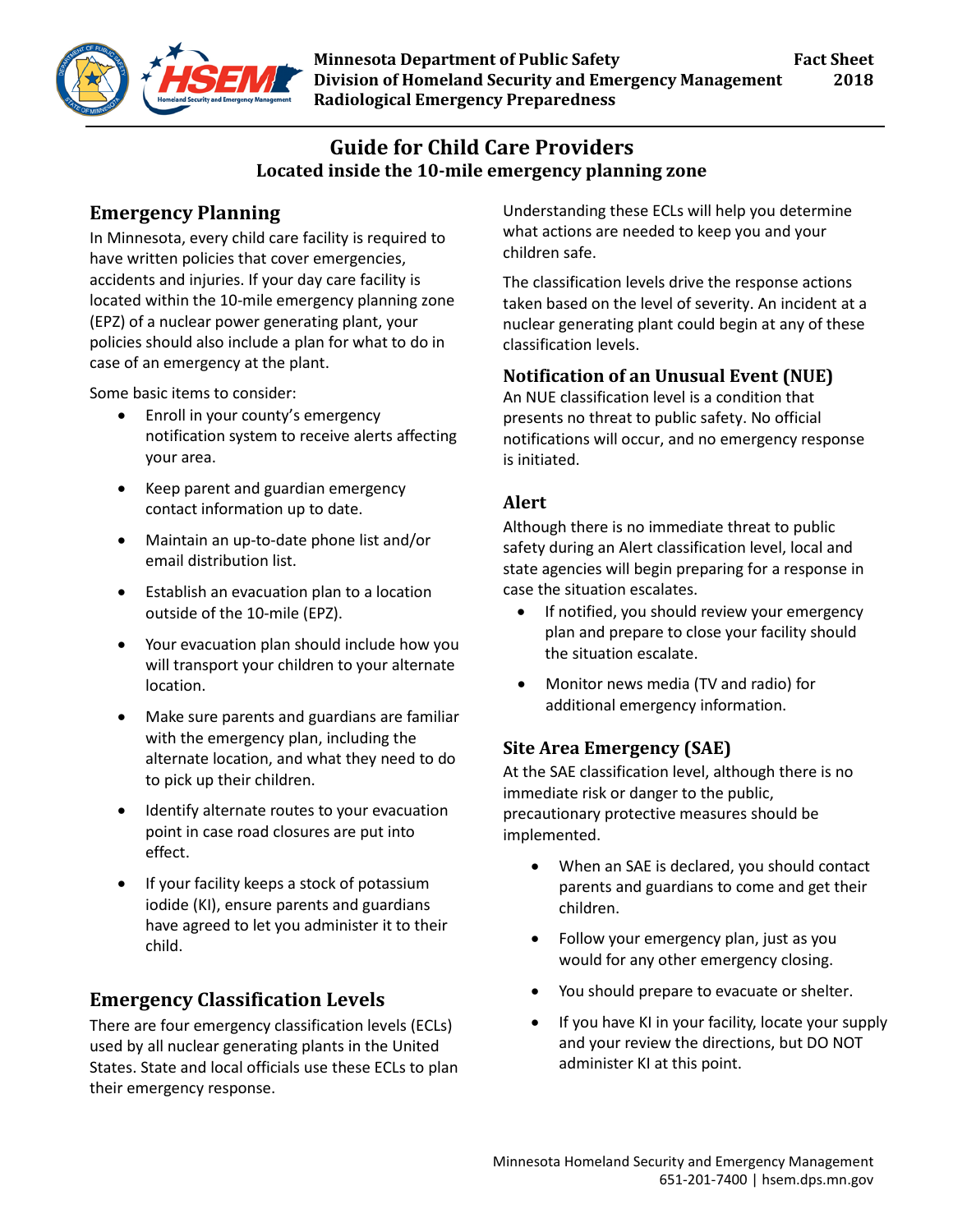

## **Guide for Child Care Providers Located inside the 10-mile emergency planning zone**

# **Emergency Planning**

In Minnesota, every child care facility is required to have written policies that cover emergencies, accidents and injuries. If your day care facility is located within the 10-mile emergency planning zone (EPZ) of a nuclear power generating plant, your policies should also include a plan for what to do in case of an emergency at the plant.

Some basic items to consider:

- Enroll in your county's emergency notification system to receive alerts affecting your area.
- Keep parent and guardian emergency contact information up to date.
- Maintain an up-to-date phone list and/or email distribution list.
- Establish an evacuation plan to a location outside of the 10-mile (EPZ).
- Your evacuation plan should include how you will transport your children to your alternate location.
- Make sure parents and guardians are familiar with the emergency plan, including the alternate location, and what they need to do to pick up their children.
- Identify alternate routes to your evacuation point in case road closures are put into effect.
- If your facility keeps a stock of potassium iodide (KI), ensure parents and guardians have agreed to let you administer it to their child.

## **Emergency Classification Levels**

There are four emergency classification levels (ECLs) used by all nuclear generating plants in the United States. State and local officials use these ECLs to plan their emergency response.

Understanding these ECLs will help you determine what actions are needed to keep you and your children safe.

The classification levels drive the response actions taken based on the level of severity. An incident at a nuclear generating plant could begin at any of these classification levels.

### **Notification of an Unusual Event (NUE)**

An NUE classification level is a condition that presents no threat to public safety. No official notifications will occur, and no emergency response is initiated.

### **Alert**

Although there is no immediate threat to public safety during an Alert classification level, local and state agencies will begin preparing for a response in case the situation escalates.

- If notified, you should review your emergency plan and prepare to close your facility should the situation escalate.
- Monitor news media (TV and radio) for additional emergency information.

### **Site Area Emergency (SAE)**

At the SAE classification level, although there is no immediate risk or danger to the public, precautionary protective measures should be implemented.

- When an SAE is declared, you should contact parents and guardians to come and get their children.
- Follow your emergency plan, just as you would for any other emergency closing.
- You should prepare to evacuate or shelter.
- If you have KI in your facility, locate your supply and your review the directions, but DO NOT administer KI at this point.